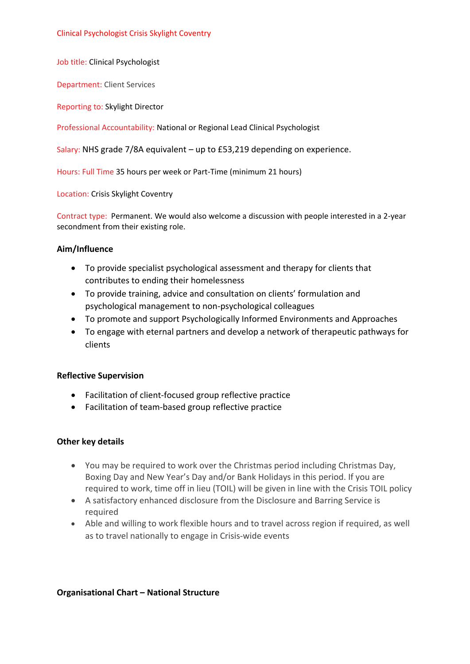Job title: Clinical Psychologist

Department: Client Services

Reporting to: Skylight Director

Professional Accountability: National or Regional Lead Clinical Psychologist

Salary: NHS grade 7/8A equivalent – up to £53,219 depending on experience.

Hours: Full Time 35 hours per week or Part-Time (minimum 21 hours)

Location: Crisis Skylight Coventry

Contract type: Permanent. We would also welcome a discussion with people interested in a 2-year secondment from their existing role.

#### **Aim/Influence**

- To provide specialist psychological assessment and therapy for clients that contributes to ending their homelessness
- To provide training, advice and consultation on clients' formulation and psychological management to non-psychological colleagues
- To promote and support Psychologically Informed Environments and Approaches
- To engage with eternal partners and develop a network of therapeutic pathways for clients

### **Reflective Supervision**

- Facilitation of client-focused group reflective practice
- Facilitation of team-based group reflective practice

### **Other key details**

- You may be required to work over the Christmas period including Christmas Day, Boxing Day and New Year's Day and/or Bank Holidays in this period. If you are required to work, time off in lieu (TOIL) will be given in line with the Crisis TOIL policy
- A satisfactory enhanced disclosure from the Disclosure and Barring Service is required
- Able and willing to work flexible hours and to travel across region if required, as well as to travel nationally to engage in Crisis-wide events

### **Organisational Chart – National Structure**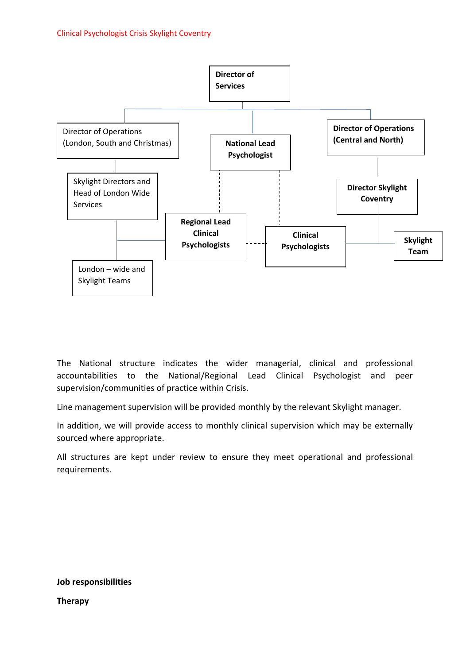

The National structure indicates the wider managerial, clinical and professional accountabilities to the National/Regional Lead Clinical Psychologist and peer supervision/communities of practice within Crisis.

Line management supervision will be provided monthly by the relevant Skylight manager.

In addition, we will provide access to monthly clinical supervision which may be externally sourced where appropriate.

All structures are kept under review to ensure they meet operational and professional requirements.

**Job responsibilities Therapy**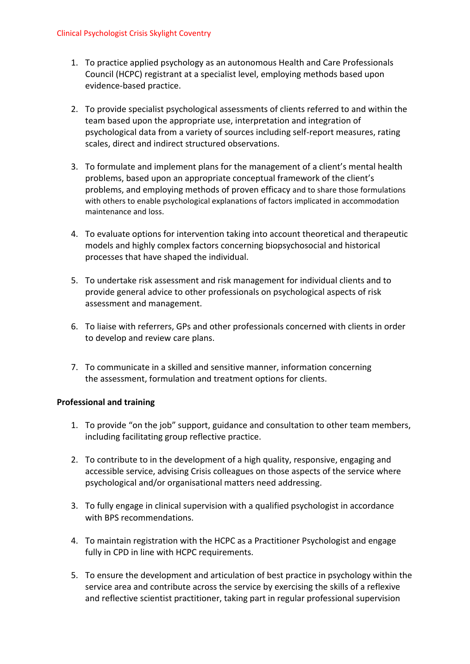- 1. To practice applied psychology as an autonomous Health and Care Professionals Council (HCPC) registrant at a specialist level, employing methods based upon evidence-based practice.
- 2. To provide specialist psychological assessments of clients referred to and within the team based upon the appropriate use, interpretation and integration of psychological data from a variety of sources including self-report measures, rating scales, direct and indirect structured observations.
- 3. To formulate and implement plans for the management of a client's mental health problems, based upon an appropriate conceptual framework of the client's problems, and employing methods of proven efficacy and to share those formulations with others to enable psychological explanations of factors implicated in accommodation maintenance and loss.
- 4. To evaluate options for intervention taking into account theoretical and therapeutic models and highly complex factors concerning biopsychosocial and historical processes that have shaped the individual.
- 5. To undertake risk assessment and risk management for individual clients and to provide general advice to other professionals on psychological aspects of risk assessment and management.
- 6. To liaise with referrers, GPs and other professionals concerned with clients in order to develop and review care plans.
- 7. To communicate in a skilled and sensitive manner, information concerning the assessment, formulation and treatment options for clients.

# **Professional and training**

- 1. To provide "on the job" support, guidance and consultation to other team members, including facilitating group reflective practice.
- 2. To contribute to in the development of a high quality, responsive, engaging and accessible service, advising Crisis colleagues on those aspects of the service where psychological and/or organisational matters need addressing.
- 3. To fully engage in clinical supervision with a qualified psychologist in accordance with BPS recommendations.
- 4. To maintain registration with the HCPC as a Practitioner Psychologist and engage fully in CPD in line with HCPC requirements.
- 5. To ensure the development and articulation of best practice in psychology within the service area and contribute across the service by exercising the skills of a reflexive and reflective scientist practitioner, taking part in regular professional supervision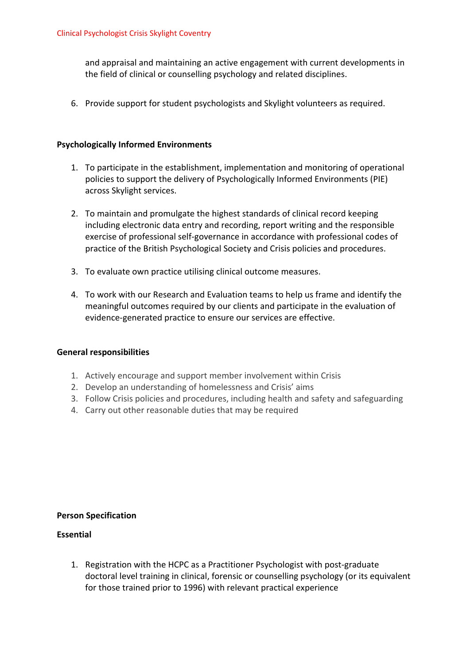and appraisal and maintaining an active engagement with current developments in the field of clinical or counselling psychology and related disciplines.

6. Provide support for student psychologists and Skylight volunteers as required.

## **Psychologically Informed Environments**

- 1. To participate in the establishment, implementation and monitoring of operational policies to support the delivery of Psychologically Informed Environments (PIE) across Skylight services.
- 2. To maintain and promulgate the highest standards of clinical record keeping including electronic data entry and recording, report writing and the responsible exercise of professional self-governance in accordance with professional codes of practice of the British Psychological Society and Crisis policies and procedures.
- 3. To evaluate own practice utilising clinical outcome measures.
- 4. To work with our Research and Evaluation teams to help us frame and identify the meaningful outcomes required by our clients and participate in the evaluation of evidence-generated practice to ensure our services are effective.

### **General responsibilities**

- 1. Actively encourage and support member involvement within Crisis
- 2. Develop an understanding of homelessness and Crisis' aims
- 3. Follow Crisis policies and procedures, including health and safety and safeguarding
- 4. Carry out other reasonable duties that may be required

### **Person Specification**

### **Essential**

1. Registration with the HCPC as a Practitioner Psychologist with post-graduate doctoral level training in clinical, forensic or counselling psychology (or its equivalent for those trained prior to 1996) with relevant practical experience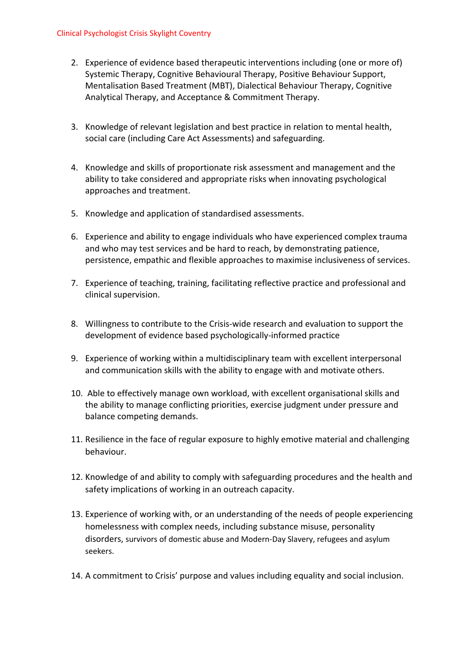- 2. Experience of evidence based therapeutic interventions including (one or more of) Systemic Therapy, Cognitive Behavioural Therapy, Positive Behaviour Support, Mentalisation Based Treatment (MBT), Dialectical Behaviour Therapy, Cognitive Analytical Therapy, and Acceptance & Commitment Therapy.
- 3. Knowledge of relevant legislation and best practice in relation to mental health, social care (including Care Act Assessments) and safeguarding.
- 4. Knowledge and skills of proportionate risk assessment and management and the ability to take considered and appropriate risks when innovating psychological approaches and treatment.
- 5. Knowledge and application of standardised assessments.
- 6. Experience and ability to engage individuals who have experienced complex trauma and who may test services and be hard to reach, by demonstrating patience, persistence, empathic and flexible approaches to maximise inclusiveness of services.
- 7. Experience of teaching, training, facilitating reflective practice and professional and clinical supervision.
- 8. Willingness to contribute to the Crisis-wide research and evaluation to support the development of evidence based psychologically-informed practice
- 9. Experience of working within a multidisciplinary team with excellent interpersonal and communication skills with the ability to engage with and motivate others.
- 10. Able to effectively manage own workload, with excellent organisational skills and the ability to manage conflicting priorities, exercise judgment under pressure and balance competing demands.
- 11. Resilience in the face of regular exposure to highly emotive material and challenging behaviour.
- 12. Knowledge of and ability to comply with safeguarding procedures and the health and safety implications of working in an outreach capacity.
- 13. Experience of working with, or an understanding of the needs of people experiencing homelessness with complex needs, including substance misuse, personality disorders, survivors of domestic abuse and Modern-Day Slavery, refugees and asylum seekers.
- 14. A commitment to Crisis' purpose and values including equality and social inclusion.